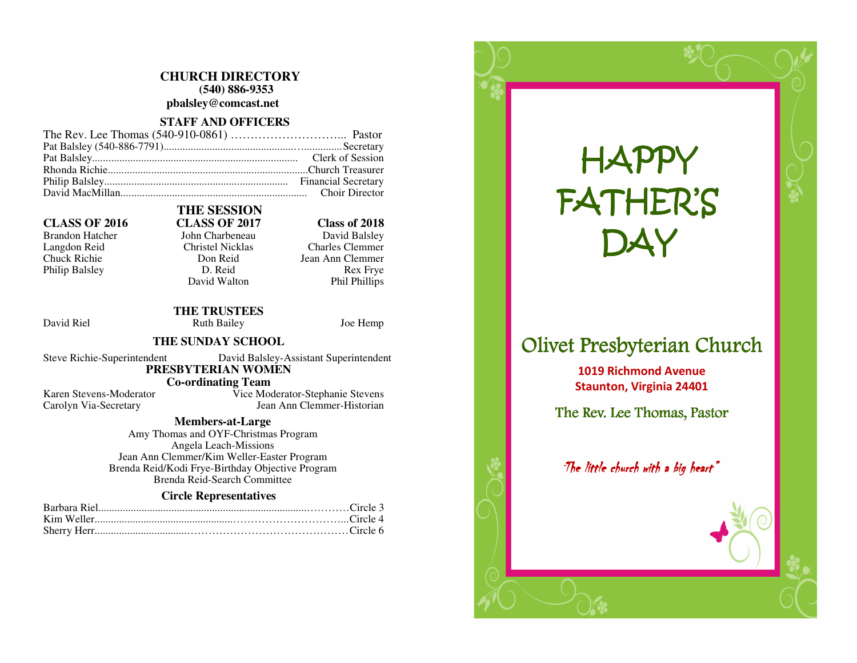### **CHURCH DIRECTORY (540) 886-9353 pbalsley@comcast.net**

### **STAFF AND OFFICERS**

#### **CLASS OF 2016 CLASS OF 2017 Class of 2018**

Brandon Hatcher John Charbeneau<br>Langdon Reid Christel Nicklas Philip Balsley D. Reid

## **THE SESSION**

David Balsley Langdon Reid Christel Nicklas Charles Clemmer Chuck Richie Don Reid Jean Ann Clemmer Rex Frye Phil Phillips

#### **THE TRUSTEES** David Riel **Ruth Bailey** Joe Hemp

David Walton

### **THE SUNDAY SCHOOL**

Steve Richie-Superintendent David Balsley-Assistant Superintendent  **PRESBYTERIAN WOMEN** 

### **Co-ordinating Team**<br>Karen Stevens-Moderator **Co-**

 Karen Stevens-Moderator Vice Moderator-Stephanie Stevens Carolyn Via-Secretary Jean Ann Clemmer-Historian

### **Members-at-Large**

 Amy Thomas and OYF-Christmas Program Angela Leach-Missions Jean Ann Clemmer/Kim Weller-Easter Program Brenda Reid/Kodi Frye-Birthday Objective Program Brenda Reid-Search Committee

### **Circle Representatives**

# HAPPYFATHER'S DAY

### Olivet Presbyterian Church

1019 Richmond Avenue Staunton, Virginia 24401

The Rev. Lee Thomas, Pastor

Olivet Presbyterian Church Olivet Church

The Rev. Lee Thomas, Pastor The Rev. Pastor

The little church with a big heart"  $\overline{\phantom{a}}$